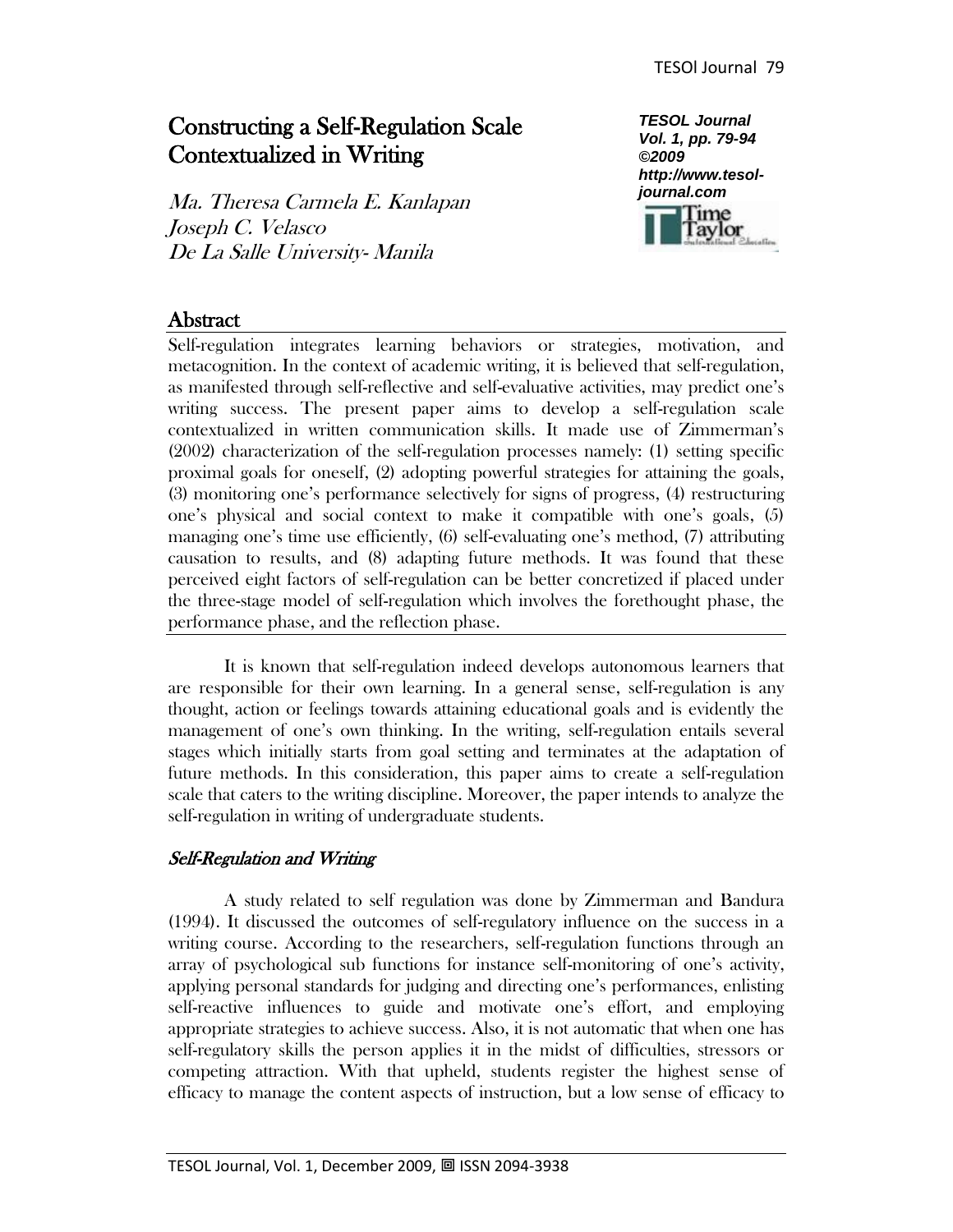# Constructing a Self-Regulation Scale Contextualized in Writing

Ma. Theresa Carmela E. Kanlapan Joseph C. Velasco De La Salle University- Manila



# **Abstract**

Self-regulation integrates learning behaviors or strategies, motivation, and metacognition. In the context of academic writing, it is believed that self-regulation, as manifested through self-reflective and self-evaluative activities, may predict one's writing success. The present paper aims to develop a self-regulation scale contextualized in written communication skills. It made use of Zimmerman's (2002) characterization of the self-regulation processes namely: (1) setting specific proximal goals for oneself, (2) adopting powerful strategies for attaining the goals, (3) monitoring one's performance selectively for signs of progress, (4) restructuring one's physical and social context to make it compatible with one's goals, (5) managing one's time use efficiently, (6) self-evaluating one's method, (7) attributing causation to results, and (8) adapting future methods. It was found that these perceived eight factors of self-regulation can be better concretized if placed under the three-stage model of self-regulation which involves the forethought phase, the performance phase, and the reflection phase.

It is known that self-regulation indeed develops autonomous learners that are responsible for their own learning. In a general sense, self-regulation is any thought, action or feelings towards attaining educational goals and is evidently the management of one's own thinking. In the writing, self-regulation entails several stages which initially starts from goal setting and terminates at the adaptation of future methods. In this consideration, this paper aims to create a self-regulation scale that caters to the writing discipline. Moreover, the paper intends to analyze the self-regulation in writing of undergraduate students.

## Self-Regulation and Writing

A study related to self regulation was done by Zimmerman and Bandura (1994). It discussed the outcomes of self-regulatory influence on the success in a writing course. According to the researchers, self-regulation functions through an array of psychological sub functions for instance self-monitoring of one's activity, applying personal standards for judging and directing one's performances, enlisting self-reactive influences to guide and motivate one's effort, and employing appropriate strategies to achieve success. Also, it is not automatic that when one has self-regulatory skills the person applies it in the midst of difficulties, stressors or competing attraction. With that upheld, students register the highest sense of efficacy to manage the content aspects of instruction, but a low sense of efficacy to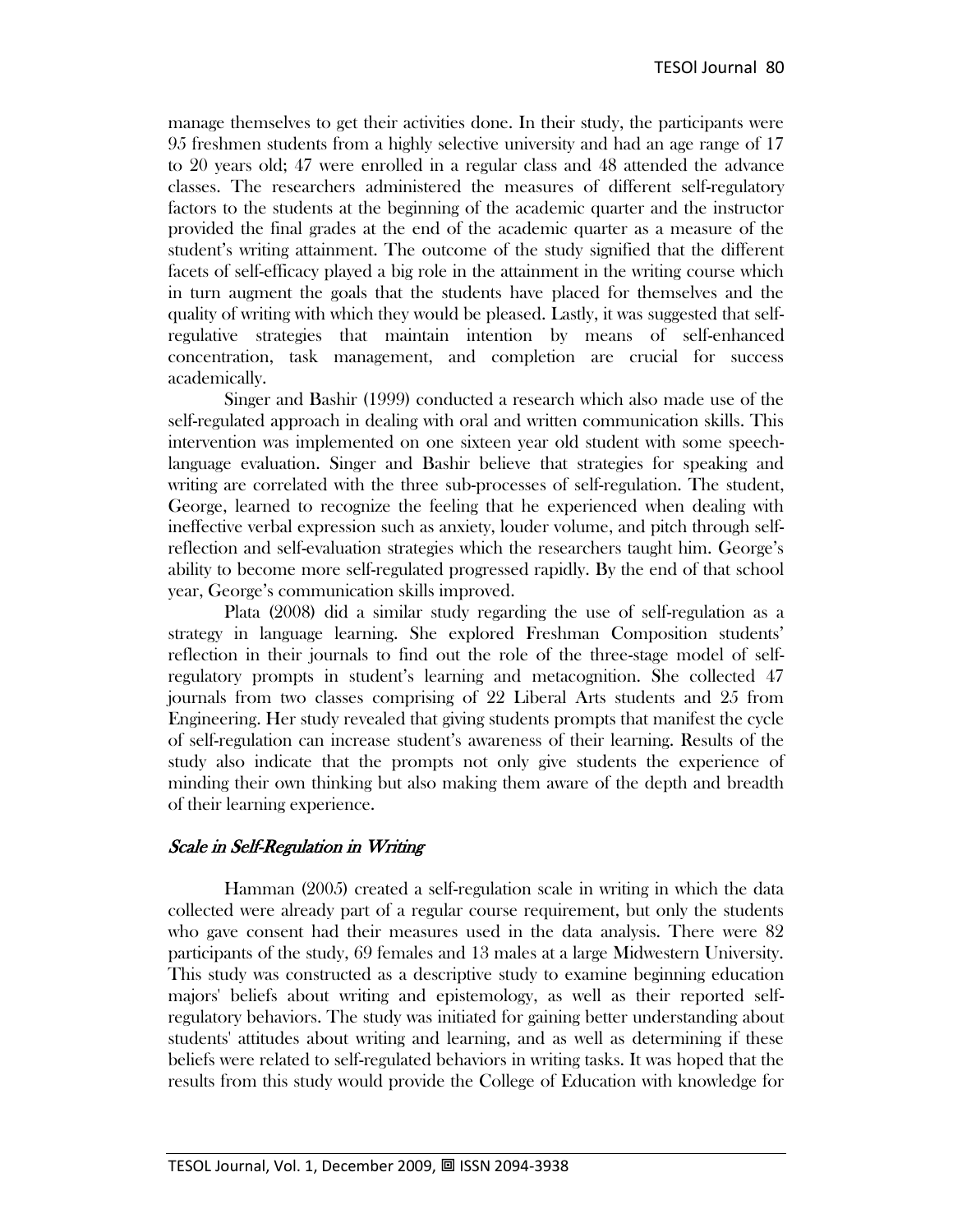manage themselves to get their activities done. In their study, the participants were 95 freshmen students from a highly selective university and had an age range of 17 to 20 years old; 47 were enrolled in a regular class and 48 attended the advance classes. The researchers administered the measures of different self-regulatory factors to the students at the beginning of the academic quarter and the instructor provided the final grades at the end of the academic quarter as a measure of the student's writing attainment. The outcome of the study signified that the different facets of self-efficacy played a big role in the attainment in the writing course which in turn augment the goals that the students have placed for themselves and the quality of writing with which they would be pleased. Lastly, it was suggested that selfregulative strategies that maintain intention by means of self-enhanced concentration, task management, and completion are crucial for success academically.

Singer and Bashir (1999) conducted a research which also made use of the self-regulated approach in dealing with oral and written communication skills. This intervention was implemented on one sixteen year old student with some speechlanguage evaluation. Singer and Bashir believe that strategies for speaking and writing are correlated with the three sub-processes of self-regulation. The student, George, learned to recognize the feeling that he experienced when dealing with ineffective verbal expression such as anxiety, louder volume, and pitch through selfreflection and self-evaluation strategies which the researchers taught him. George's ability to become more self-regulated progressed rapidly. By the end of that school year, George's communication skills improved.

Plata (2008) did a similar study regarding the use of self-regulation as a strategy in language learning. She explored Freshman Composition students' reflection in their journals to find out the role of the three-stage model of selfregulatory prompts in student's learning and metacognition. She collected 47 journals from two classes comprising of 22 Liberal Arts students and 25 from Engineering. Her study revealed that giving students prompts that manifest the cycle of self-regulation can increase student's awareness of their learning. Results of the study also indicate that the prompts not only give students the experience of minding their own thinking but also making them aware of the depth and breadth of their learning experience.

### Scale in Self-Regulation in Writing

Hamman (2005) created a self-regulation scale in writing in which the data collected were already part of a regular course requirement, but only the students who gave consent had their measures used in the data analysis. There were 82 participants of the study, 69 females and 13 males at a large Midwestern University. This study was constructed as a descriptive study to examine beginning education majors' beliefs about writing and epistemology, as well as their reported selfregulatory behaviors. The study was initiated for gaining better understanding about students' attitudes about writing and learning, and as well as determining if these beliefs were related to self-regulated behaviors in writing tasks. It was hoped that the results from this study would provide the College of Education with knowledge for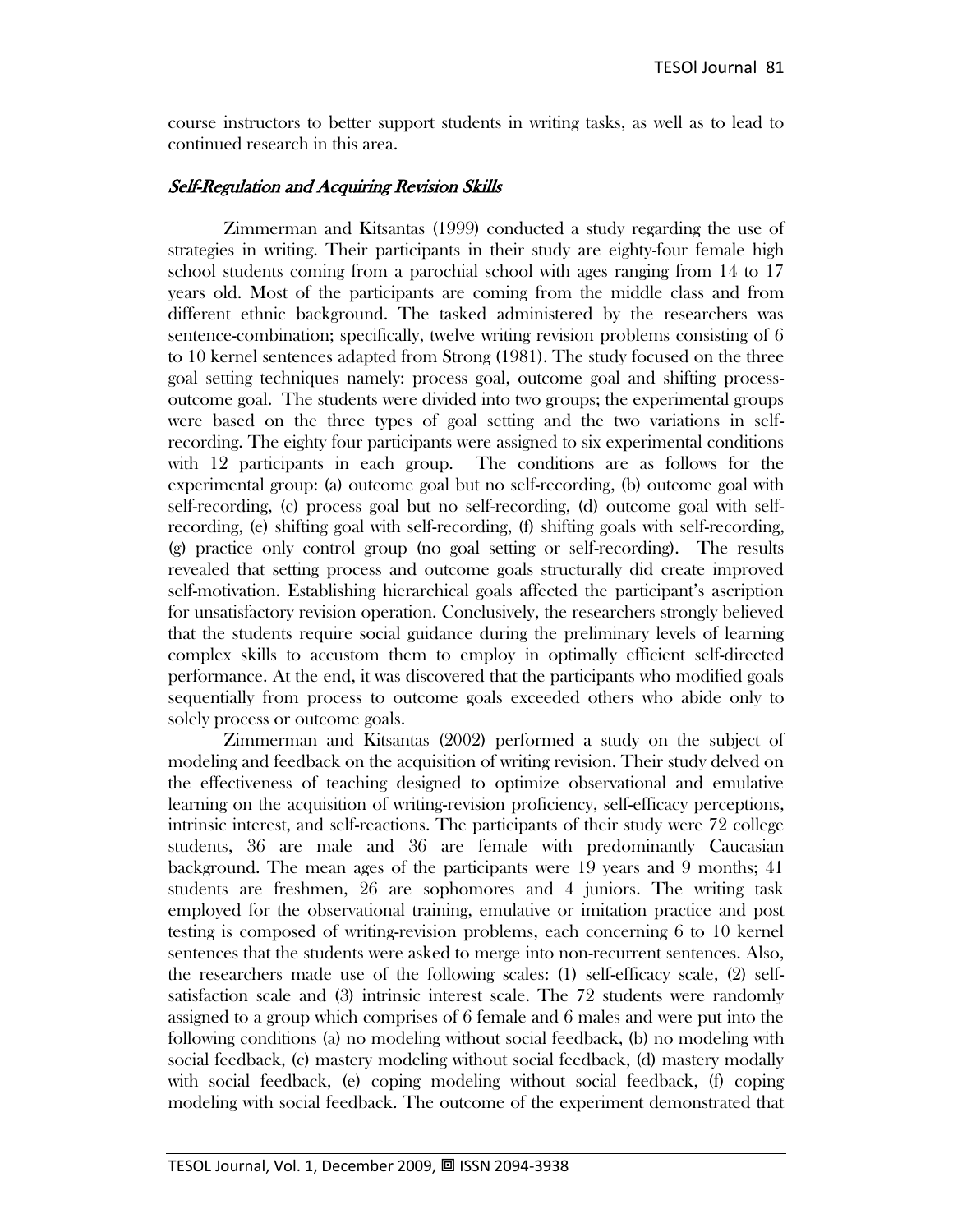course instructors to better support students in writing tasks, as well as to lead to continued research in this area.

### Self-Regulation and Acquiring Revision Skills

Zimmerman and Kitsantas (1999) conducted a study regarding the use of strategies in writing. Their participants in their study are eighty-four female high school students coming from a parochial school with ages ranging from 14 to 17 years old. Most of the participants are coming from the middle class and from different ethnic background. The tasked administered by the researchers was sentence-combination; specifically, twelve writing revision problems consisting of 6 to 10 kernel sentences adapted from Strong (1981). The study focused on the three goal setting techniques namely: process goal, outcome goal and shifting processoutcome goal. The students were divided into two groups; the experimental groups were based on the three types of goal setting and the two variations in selfrecording. The eighty four participants were assigned to six experimental conditions with 12 participants in each group. The conditions are as follows for the experimental group: (a) outcome goal but no self-recording, (b) outcome goal with self-recording, (c) process goal but no self-recording, (d) outcome goal with selfrecording, (e) shifting goal with self-recording, (f) shifting goals with self-recording, (g) practice only control group (no goal setting or self-recording). The results revealed that setting process and outcome goals structurally did create improved self-motivation. Establishing hierarchical goals affected the participant's ascription for unsatisfactory revision operation. Conclusively, the researchers strongly believed that the students require social guidance during the preliminary levels of learning complex skills to accustom them to employ in optimally efficient self-directed performance. At the end, it was discovered that the participants who modified goals sequentially from process to outcome goals exceeded others who abide only to solely process or outcome goals.

Zimmerman and Kitsantas (2002) performed a study on the subject of modeling and feedback on the acquisition of writing revision. Their study delved on the effectiveness of teaching designed to optimize observational and emulative learning on the acquisition of writing-revision proficiency, self-efficacy perceptions, intrinsic interest, and self-reactions. The participants of their study were 72 college students, 36 are male and 36 are female with predominantly Caucasian background. The mean ages of the participants were 19 years and 9 months; 41 students are freshmen, 26 are sophomores and 4 juniors. The writing task employed for the observational training, emulative or imitation practice and post testing is composed of writing-revision problems, each concerning 6 to 10 kernel sentences that the students were asked to merge into non-recurrent sentences. Also, the researchers made use of the following scales: (1) self-efficacy scale, (2) selfsatisfaction scale and (3) intrinsic interest scale. The 72 students were randomly assigned to a group which comprises of 6 female and 6 males and were put into the following conditions (a) no modeling without social feedback, (b) no modeling with social feedback, (c) mastery modeling without social feedback, (d) mastery modally with social feedback, (e) coping modeling without social feedback, (f) coping modeling with social feedback. The outcome of the experiment demonstrated that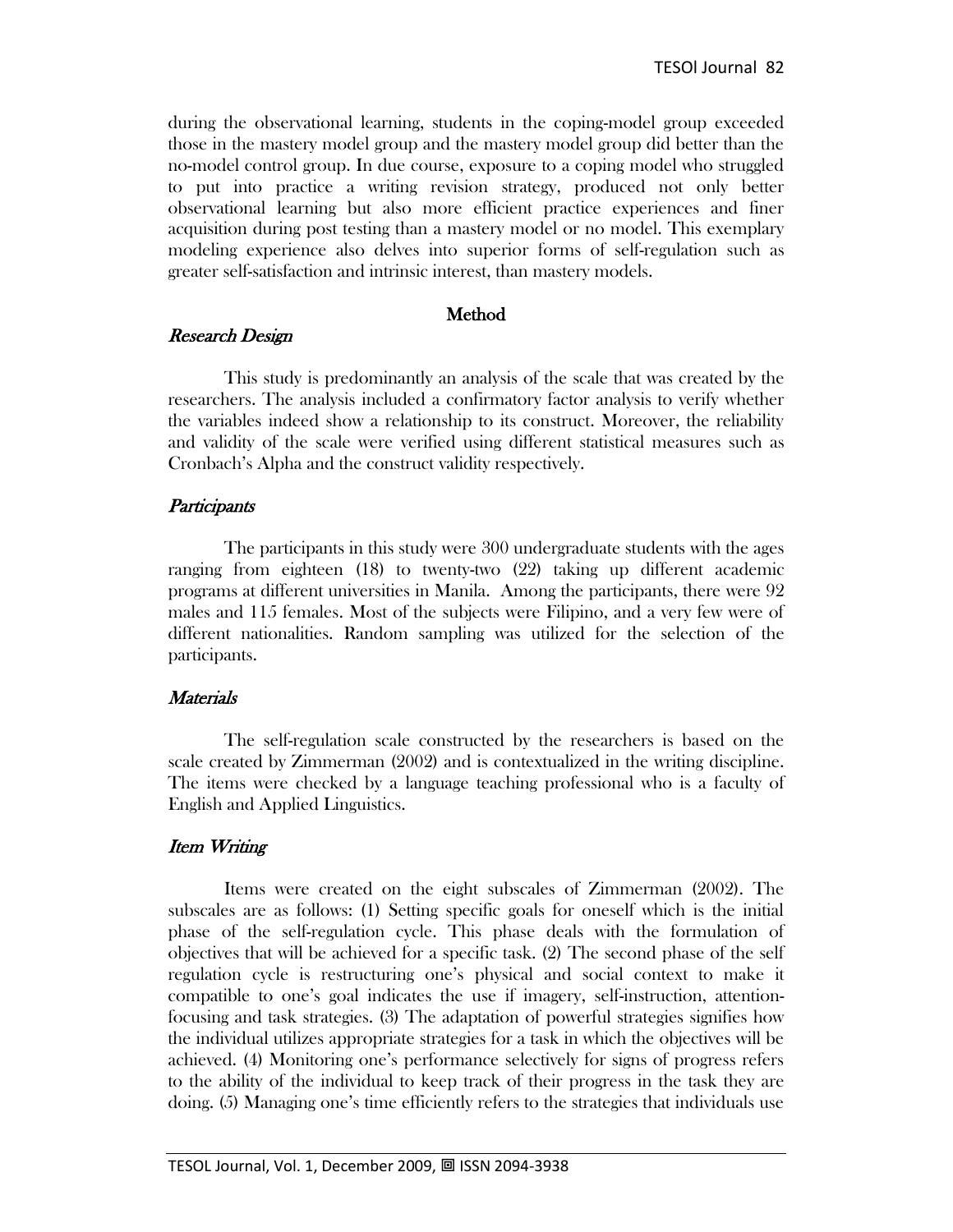during the observational learning, students in the coping-model group exceeded those in the mastery model group and the mastery model group did better than the no-model control group. In due course, exposure to a coping model who struggled to put into practice a writing revision strategy, produced not only better observational learning but also more efficient practice experiences and finer acquisition during post testing than a mastery model or no model. This exemplary modeling experience also delves into superior forms of self-regulation such as greater self-satisfaction and intrinsic interest, than mastery models.

### Method

### Research Design

This study is predominantly an analysis of the scale that was created by the researchers. The analysis included a confirmatory factor analysis to verify whether the variables indeed show a relationship to its construct. Moreover, the reliability and validity of the scale were verified using different statistical measures such as Cronbach's Alpha and the construct validity respectively.

### **Participants**

The participants in this study were 300 undergraduate students with the ages ranging from eighteen (18) to twenty-two (22) taking up different academic programs at different universities in Manila. Among the participants, there were 92 males and 115 females. Most of the subjects were Filipino, and a very few were of different nationalities. Random sampling was utilized for the selection of the participants.

### **Materials**

The self-regulation scale constructed by the researchers is based on the scale created by Zimmerman (2002) and is contextualized in the writing discipline. The items were checked by a language teaching professional who is a faculty of English and Applied Linguistics.

## Item Writing

Items were created on the eight subscales of Zimmerman (2002). The subscales are as follows: (1) Setting specific goals for oneself which is the initial phase of the self-regulation cycle. This phase deals with the formulation of objectives that will be achieved for a specific task. (2) The second phase of the self regulation cycle is restructuring one's physical and social context to make it compatible to one's goal indicates the use if imagery, self-instruction, attentionfocusing and task strategies. (3) The adaptation of powerful strategies signifies how the individual utilizes appropriate strategies for a task in which the objectives will be achieved. (4) Monitoring one's performance selectively for signs of progress refers to the ability of the individual to keep track of their progress in the task they are doing. (5) Managing one's time efficiently refers to the strategies that individuals use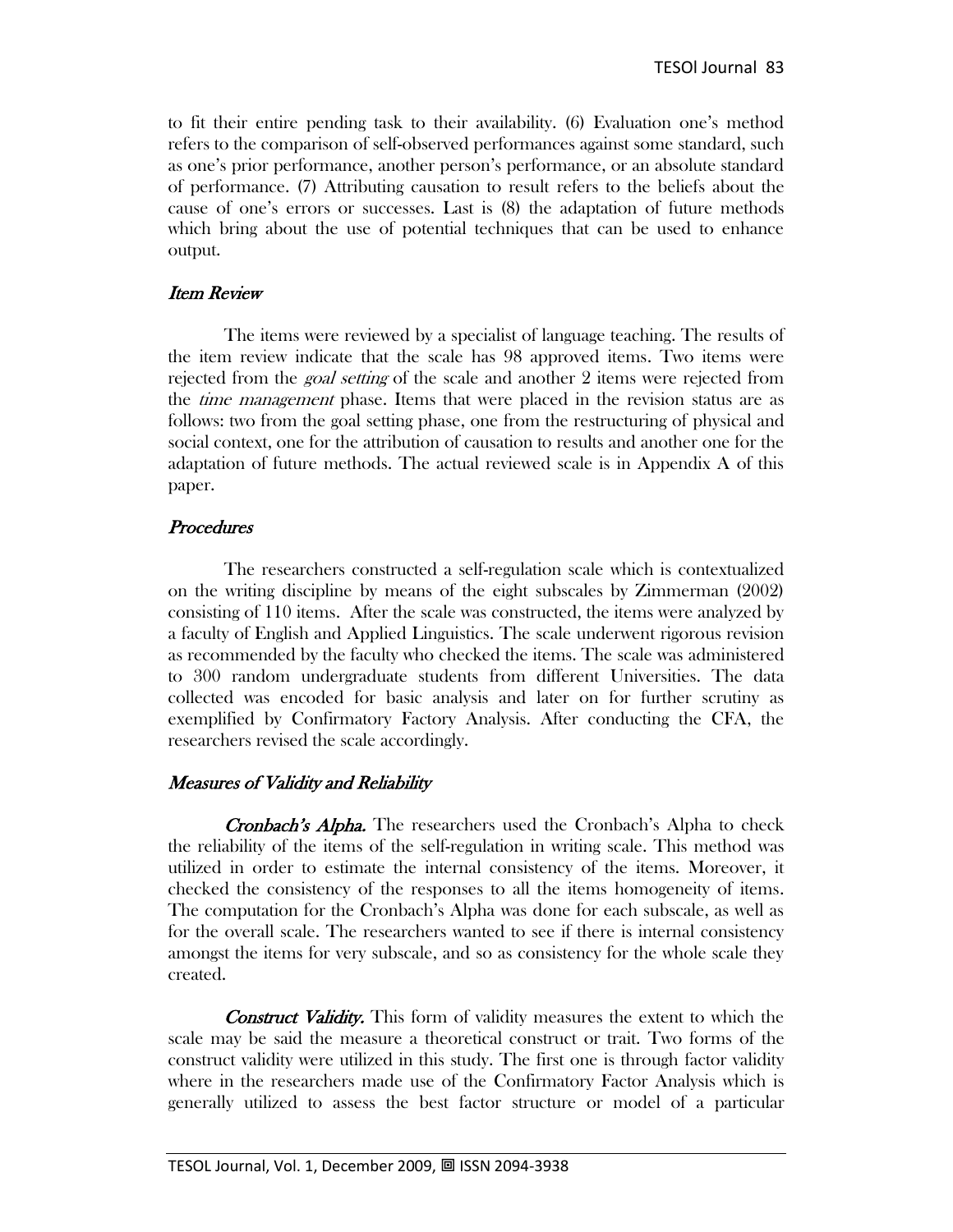to fit their entire pending task to their availability. (6) Evaluation one's method refers to the comparison of self-observed performances against some standard, such as one's prior performance, another person's performance, or an absolute standard of performance. (7) Attributing causation to result refers to the beliefs about the cause of one's errors or successes. Last is (8) the adaptation of future methods which bring about the use of potential techniques that can be used to enhance output.

### Item Review

The items were reviewed by a specialist of language teaching. The results of the item review indicate that the scale has 98 approved items. Two items were rejected from the *goal setting* of the scale and another 2 items were rejected from the *time management* phase. Items that were placed in the revision status are as follows: two from the goal setting phase, one from the restructuring of physical and social context, one for the attribution of causation to results and another one for the adaptation of future methods. The actual reviewed scale is in Appendix A of this paper.

## **Procedures**

The researchers constructed a self-regulation scale which is contextualized on the writing discipline by means of the eight subscales by Zimmerman (2002) consisting of 110 items. After the scale was constructed, the items were analyzed by a faculty of English and Applied Linguistics. The scale underwent rigorous revision as recommended by the faculty who checked the items. The scale was administered to 300 random undergraduate students from different Universities. The data collected was encoded for basic analysis and later on for further scrutiny as exemplified by Confirmatory Factory Analysis. After conducting the CFA, the researchers revised the scale accordingly.

## Measures of Validity and Reliability

Cronbach's Alpha. The researchers used the Cronbach's Alpha to check the reliability of the items of the self-regulation in writing scale. This method was utilized in order to estimate the internal consistency of the items. Moreover, it checked the consistency of the responses to all the items homogeneity of items. The computation for the Cronbach's Alpha was done for each subscale, as well as for the overall scale. The researchers wanted to see if there is internal consistency amongst the items for very subscale, and so as consistency for the whole scale they created.

**Construct Validity.** This form of validity measures the extent to which the scale may be said the measure a theoretical construct or trait. Two forms of the construct validity were utilized in this study. The first one is through factor validity where in the researchers made use of the Confirmatory Factor Analysis which is generally utilized to assess the best factor structure or model of a particular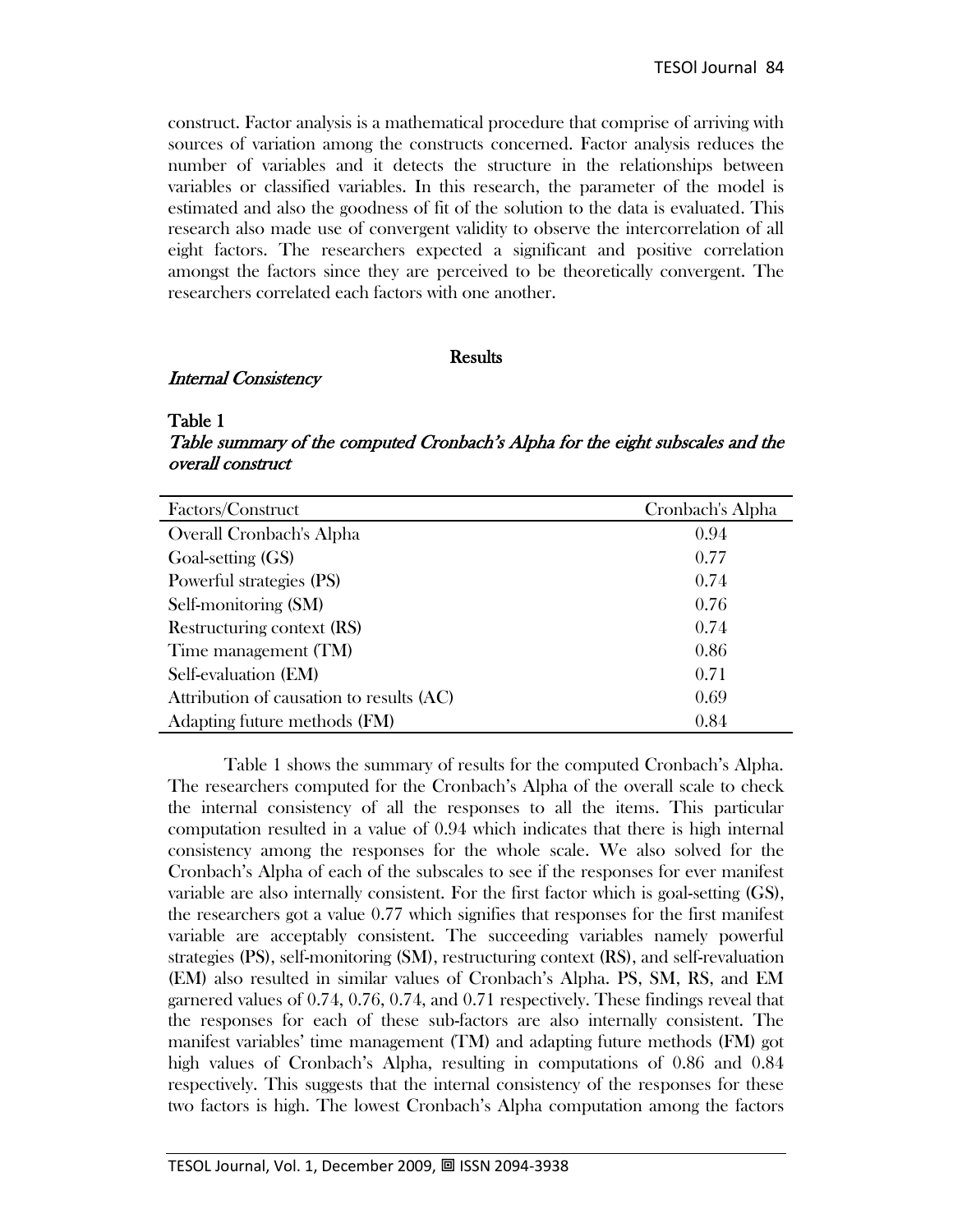construct. Factor analysis is a mathematical procedure that comprise of arriving with sources of variation among the constructs concerned. Factor analysis reduces the number of variables and it detects the structure in the relationships between variables or classified variables. In this research, the parameter of the model is estimated and also the goodness of fit of the solution to the data is evaluated. This research also made use of convergent validity to observe the intercorrelation of all eight factors. The researchers expected a significant and positive correlation amongst the factors since they are perceived to be theoretically convergent. The researchers correlated each factors with one another.

#### **Results**

#### Internal Consistency

#### Table 1

Table summary of the computed Cronbach's Alpha for the eight subscales and the overall construct

| Factors/Construct                        | Cronbach's Alpha |
|------------------------------------------|------------------|
| Overall Cronbach's Alpha                 | 0.94             |
| Goal-setting (GS)                        | 0.77             |
| Powerful strategies (PS)                 | 0.74             |
| Self-monitoring (SM)                     | 0.76             |
| Restructuring context (RS)               | 0.74             |
| Time management (TM)                     | 0.86             |
| Self-evaluation (EM)                     | 0.71             |
| Attribution of causation to results (AC) | 0.69             |
| Adapting future methods (FM)             | 0.84             |

Table 1 shows the summary of results for the computed Cronbach's Alpha. The researchers computed for the Cronbach's Alpha of the overall scale to check the internal consistency of all the responses to all the items. This particular computation resulted in a value of 0.94 which indicates that there is high internal consistency among the responses for the whole scale. We also solved for the Cronbach's Alpha of each of the subscales to see if the responses for ever manifest variable are also internally consistent. For the first factor which is goal-setting (GS), the researchers got a value 0.77 which signifies that responses for the first manifest variable are acceptably consistent. The succeeding variables namely powerful strategies (PS), self-monitoring (SM), restructuring context (RS), and self-revaluation (EM) also resulted in similar values of Cronbach's Alpha. PS, SM, RS, and EM garnered values of 0.74, 0.76, 0.74, and 0.71 respectively. These findings reveal that the responses for each of these sub-factors are also internally consistent. The manifest variables' time management (TM) and adapting future methods (FM) got high values of Cronbach's Alpha, resulting in computations of 0.86 and 0.84 respectively. This suggests that the internal consistency of the responses for these two factors is high. The lowest Cronbach's Alpha computation among the factors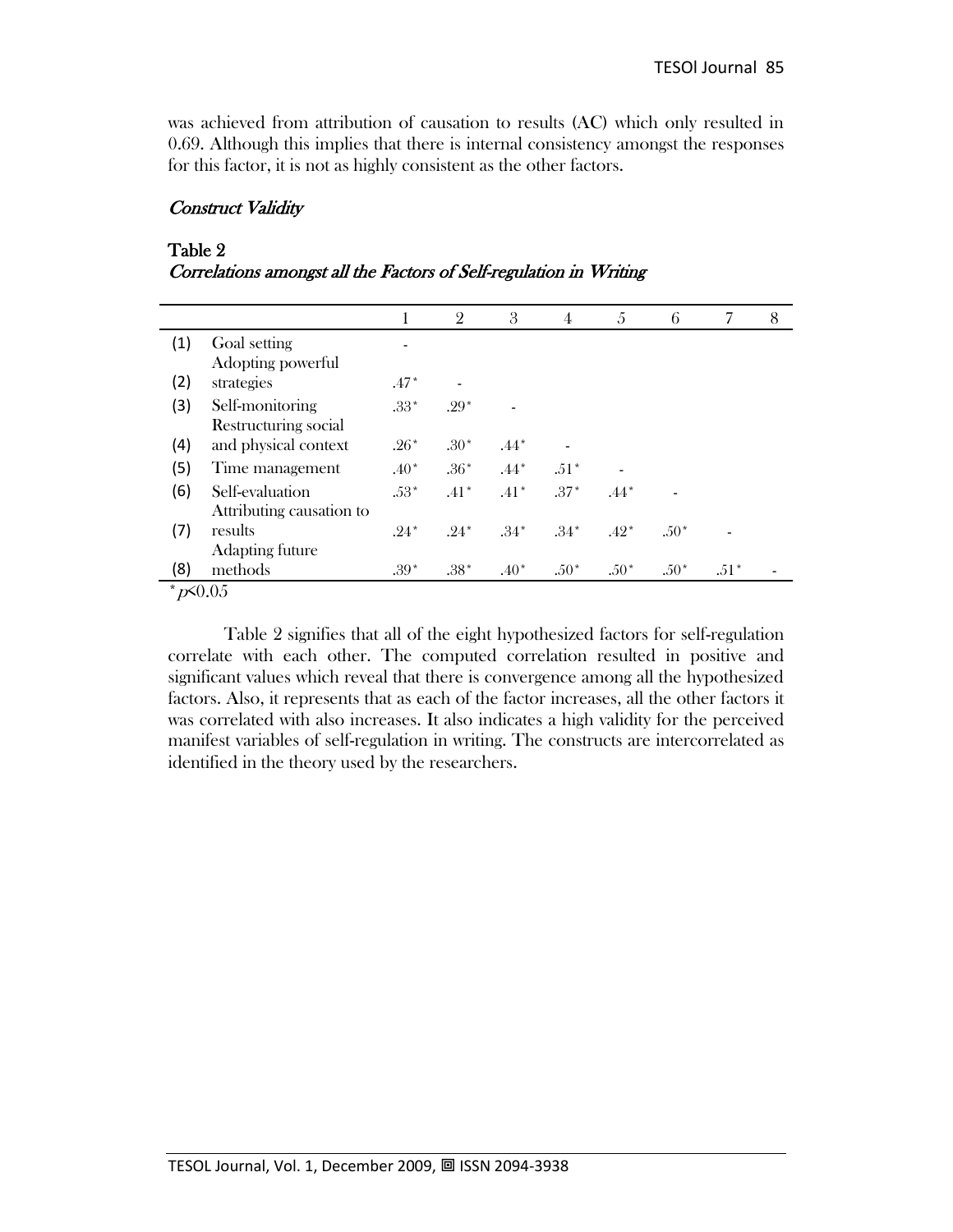was achieved from attribution of causation to results (AC) which only resulted in 0.69. Although this implies that there is internal consistency amongst the responses for this factor, it is not as highly consistent as the other factors.

### Construct Validity

### Table 2

| Correlations amongst all the Factors of Self-regulation in Writing |  |  |  |
|--------------------------------------------------------------------|--|--|--|
|                                                                    |  |  |  |

|                                    |                          |        | $\overline{2}$ | 3      | $\overline{4}$ | 5      | 6      | 7      | 8 |
|------------------------------------|--------------------------|--------|----------------|--------|----------------|--------|--------|--------|---|
| (1)                                | Goal setting             |        |                |        |                |        |        |        |   |
|                                    | Adopting powerful        |        |                |        |                |        |        |        |   |
| (2)                                | strategies               | $.47*$ |                |        |                |        |        |        |   |
| (3)                                | Self-monitoring          | $.33*$ | $.29*$         |        |                |        |        |        |   |
|                                    | Restructuring social     |        |                |        |                |        |        |        |   |
| (4)                                | and physical context     | $.26*$ | $.30*$         | $.44*$ |                |        |        |        |   |
| (5)                                | Time management          | $.40*$ | $.36*$         | $.44*$ | $.51*$         |        |        |        |   |
| (6)                                | Self-evaluation          | $.53*$ | $.41*$         | $.41*$ | $.37*$         | $.44*$ |        |        |   |
|                                    | Attributing causation to |        |                |        |                |        |        |        |   |
| (7)                                | results                  | $.24*$ | $.24*$         | $.34*$ | $.34*$         | $.42*$ | $.50*$ |        |   |
|                                    | Adapting future          |        |                |        |                |        |        |        |   |
| (8)                                | methods                  | $.39*$ | $.38*$         | $.40*$ | $.50*$         | $.50*$ | $.50*$ | $.51*$ |   |
| $\star$ $\sqrt{0}$ $\wedge$ $\sim$ |                          |        |                |        |                |        |        |        |   |

 $p \leq 0.05$ 

Table 2 signifies that all of the eight hypothesized factors for self-regulation correlate with each other. The computed correlation resulted in positive and significant values which reveal that there is convergence among all the hypothesized factors. Also, it represents that as each of the factor increases, all the other factors it was correlated with also increases. It also indicates a high validity for the perceived manifest variables of self-regulation in writing. The constructs are intercorrelated as identified in the theory used by the researchers.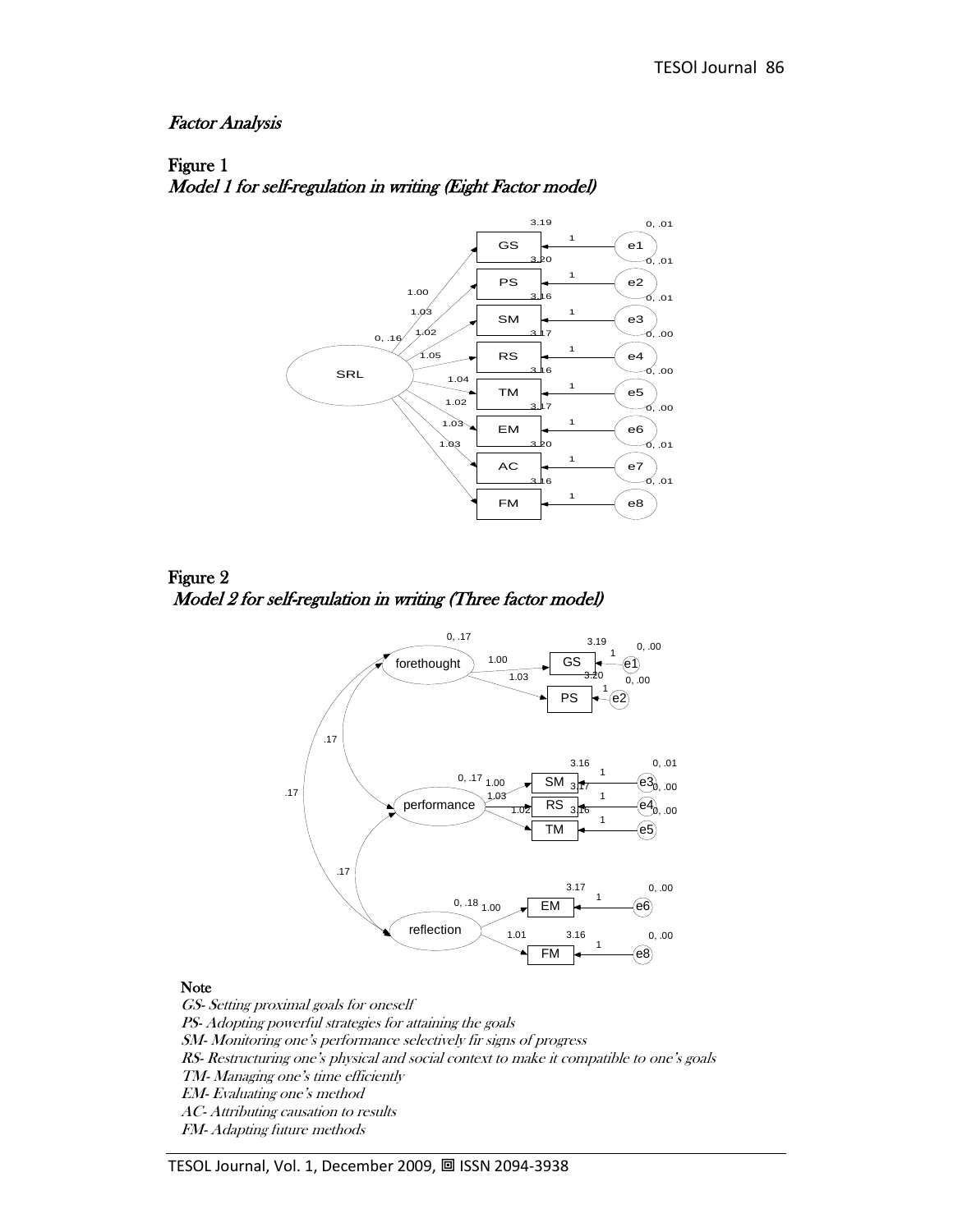#### Factor Analysis





Figure 2 Model 2 for self-regulation in writing (Three factor model)



#### Note

GS- Setting proximal goals for oneself PS- Adopting powerful strategies for attaining the goals SM- Monitoring one's performance selectively fir signs of progress RS- Restructuring one's physical and social context to make it compatible to one's goals TM- Managing one's time efficiently EM- Evaluating one's method AC- Attributing causation to results FM- Adapting future methods

TESOL Journal, Vol. 1, December 2009, 回 ISSN 2094-3938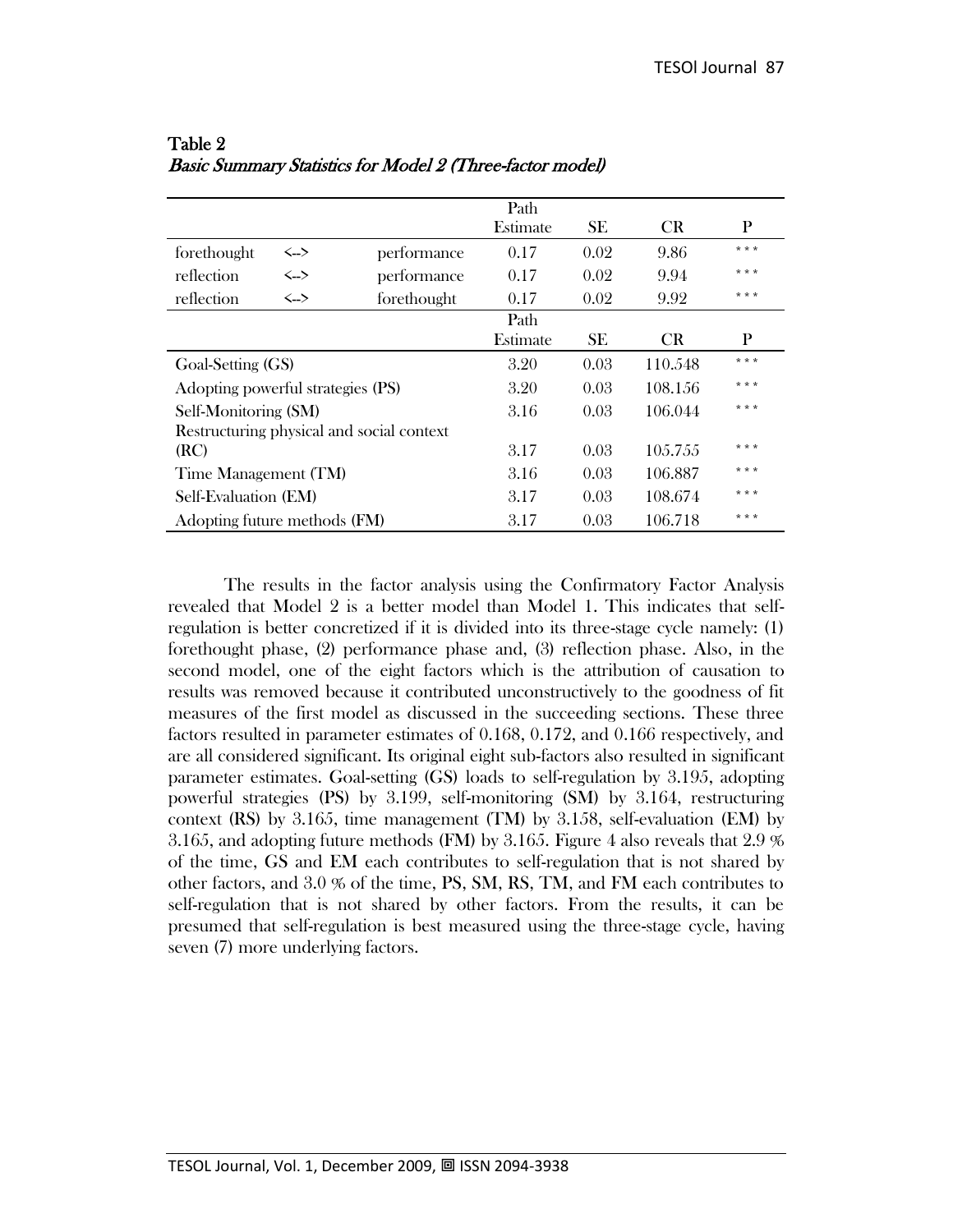|                                   |                                           |             | Path     |           |            |       |
|-----------------------------------|-------------------------------------------|-------------|----------|-----------|------------|-------|
|                                   |                                           |             | Estimate | SE.       | <b>CR</b>  | P     |
| forethought                       | $\left\langle \rightarrow \right\rangle$  | performance | 0.17     | 0.02      | 9.86       | * * * |
| reflection                        | $\leftarrow$                              | performance | 0.17     | 0.02      | 9.94       | * * * |
| reflection                        | $\left\langle \rightarrow \right\rangle$  | forethought | 0.17     | 0.02      | 9.92       | * * * |
|                                   |                                           |             | Path     |           |            |       |
|                                   |                                           |             | Estimate | <b>SE</b> | <b>CR</b>  | P     |
| Goal-Setting (GS)                 |                                           | 3.20        | 0.03     | 110.548   | * * *      |       |
| Adopting powerful strategies (PS) |                                           |             | 3.20     | 0.03      | 108.156    | * * * |
| Self-Monitoring (SM)              |                                           |             | 3.16     | 0.03      | 106.044    | * * * |
|                                   | Restructuring physical and social context |             |          |           |            |       |
| (RC)                              |                                           |             | 3.17     | 0.03      | 10.5.7.5.5 | * * * |
| Time Management (TM)              |                                           | 3.16        | 0.03     | 106.887   | * * *      |       |
| Self-Evaluation (EM)              |                                           | 3.17        | 0.03     | 108.674   | * * *      |       |
| Adopting future methods (FM)      |                                           |             | 3.17     | 0.03      | 106.718    | * * * |

Table 2 Basic Summary Statistics for Model 2 (Three-factor model)

The results in the factor analysis using the Confirmatory Factor Analysis revealed that Model 2 is a better model than Model 1. This indicates that selfregulation is better concretized if it is divided into its three-stage cycle namely: (1) forethought phase, (2) performance phase and, (3) reflection phase. Also, in the second model, one of the eight factors which is the attribution of causation to results was removed because it contributed unconstructively to the goodness of fit measures of the first model as discussed in the succeeding sections. These three factors resulted in parameter estimates of 0.168, 0.172, and 0.166 respectively, and are all considered significant. Its original eight sub-factors also resulted in significant parameter estimates. Goal-setting (GS) loads to self-regulation by 3.195, adopting powerful strategies (PS) by 3.199, self-monitoring (SM) by 3.164, restructuring context (RS) by 3.165, time management (TM) by 3.158, self-evaluation (EM) by 3.165, and adopting future methods (FM) by 3.165. Figure 4 also reveals that 2.9 % of the time, GS and EM each contributes to self-regulation that is not shared by other factors, and 3.0 % of the time, PS, SM, RS, TM, and FM each contributes to self-regulation that is not shared by other factors. From the results, it can be presumed that self-regulation is best measured using the three-stage cycle, having seven (7) more underlying factors.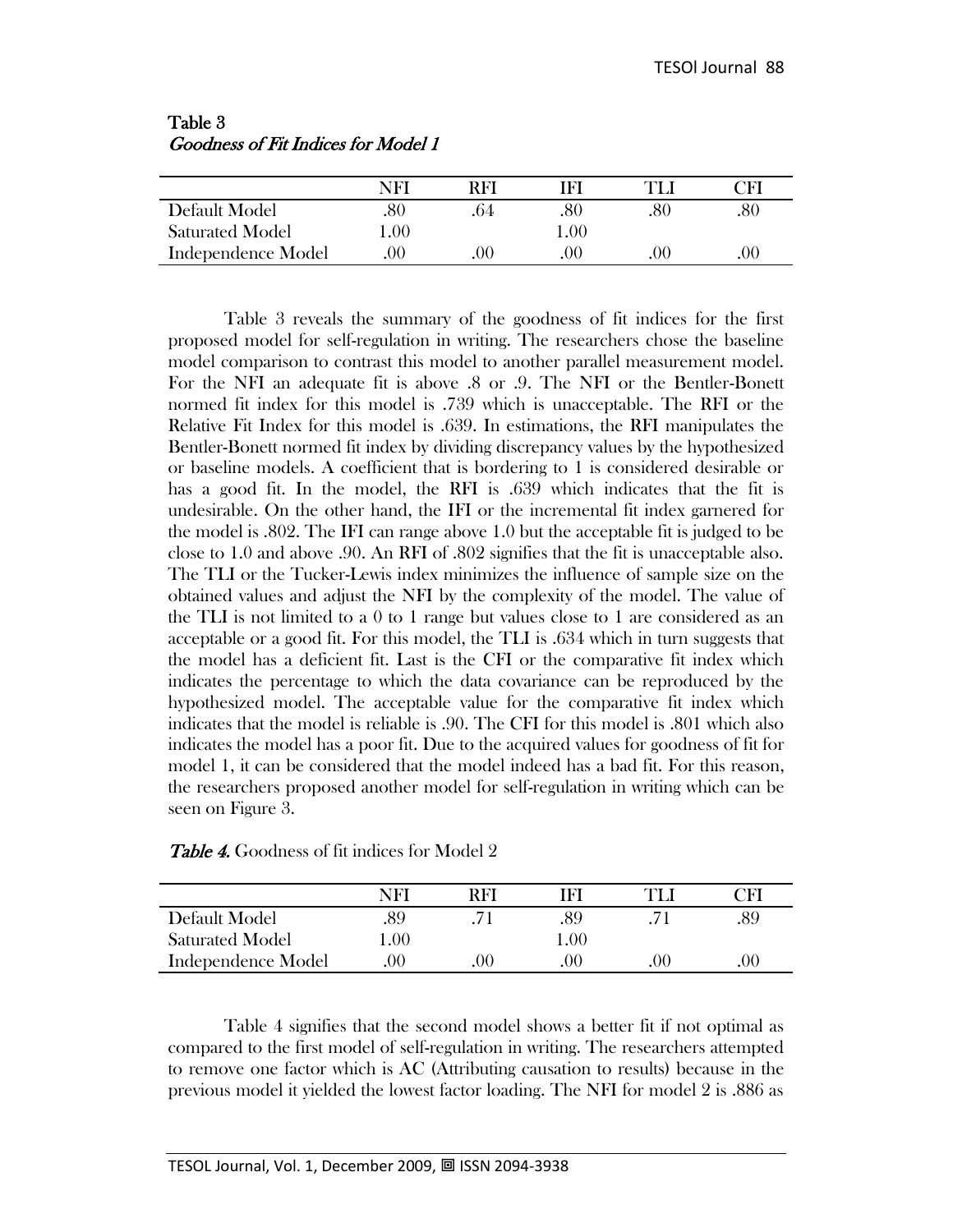|                        | NFI | RFI      |      | 7F) |
|------------------------|-----|----------|------|-----|
| Default Model          | .80 |          |      | .80 |
| <b>Saturated Model</b> | .00 |          | l.00 |     |
| Independence Model     | 00  | $\Omega$ | ()() | .00 |

Table 3 Goodness of Fit Indices for Model 1

Table 3 reveals the summary of the goodness of fit indices for the first proposed model for self-regulation in writing. The researchers chose the baseline model comparison to contrast this model to another parallel measurement model. For the NFI an adequate fit is above .8 or .9. The NFI or the Bentler-Bonett normed fit index for this model is .739 which is unacceptable. The RFI or the Relative Fit Index for this model is .639. In estimations, the RFI manipulates the Bentler-Bonett normed fit index by dividing discrepancy values by the hypothesized or baseline models. A coefficient that is bordering to 1 is considered desirable or has a good fit. In the model, the RFI is .639 which indicates that the fit is undesirable. On the other hand, the IFI or the incremental fit index garnered for the model is .802. The IFI can range above 1.0 but the acceptable fit is judged to be close to 1.0 and above .90. An RFI of .802 signifies that the fit is unacceptable also. The TLI or the Tucker-Lewis index minimizes the influence of sample size on the obtained values and adjust the NFI by the complexity of the model. The value of the TLI is not limited to a 0 to 1 range but values close to 1 are considered as an acceptable or a good fit. For this model, the TLI is .634 which in turn suggests that the model has a deficient fit. Last is the CFI or the comparative fit index which indicates the percentage to which the data covariance can be reproduced by the hypothesized model. The acceptable value for the comparative fit index which indicates that the model is reliable is .90. The CFI for this model is .801 which also indicates the model has a poor fit. Due to the acquired values for goodness of fit for model 1, it can be considered that the model indeed has a bad fit. For this reason, the researchers proposed another model for self-regulation in writing which can be seen on Figure 3.

|                        | NF  | RFI | ™F⊾     |    | $\bigcap\Gamma$ |
|------------------------|-----|-----|---------|----|-----------------|
| Default Model          | .89 |     |         |    |                 |
| <b>Saturated Model</b> | .00 |     | 0.00    |    |                 |
| Independence Model     | 00  | 00  | $($ )() | ЭC | (0)             |

Table 4 signifies that the second model shows a better fit if not optimal as compared to the first model of self-regulation in writing. The researchers attempted to remove one factor which is AC (Attributing causation to results) because in the previous model it yielded the lowest factor loading. The NFI for model 2 is .886 as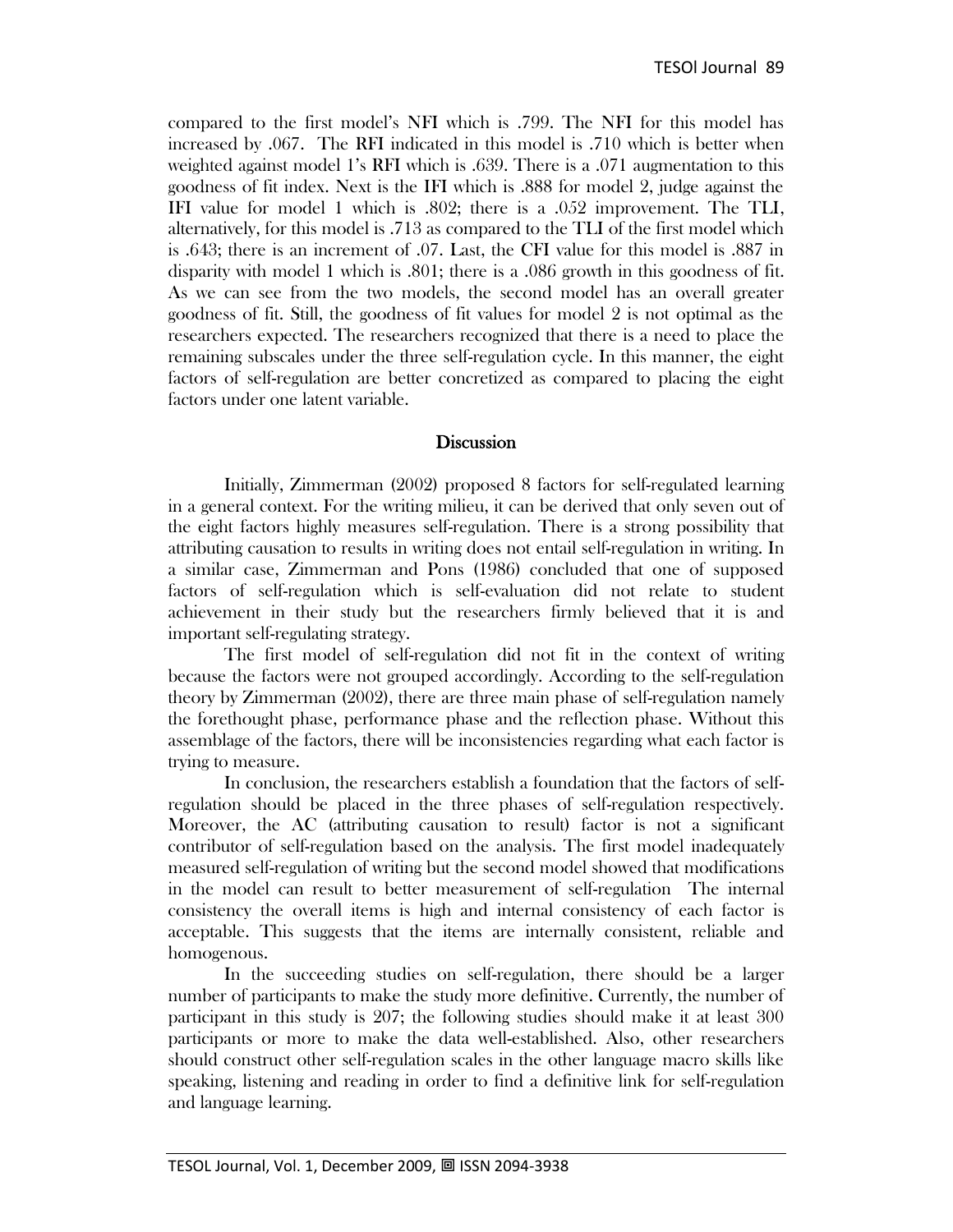compared to the first model's NFI which is .799. The NFI for this model has increased by .067. The RFI indicated in this model is .710 which is better when weighted against model 1's RFI which is .639. There is a .071 augmentation to this goodness of fit index. Next is the IFI which is .888 for model 2, judge against the IFI value for model 1 which is .802; there is a .052 improvement. The TLI, alternatively, for this model is .713 as compared to the TLI of the first model which is .643; there is an increment of .07. Last, the CFI value for this model is .887 in disparity with model 1 which is .801; there is a .086 growth in this goodness of fit. As we can see from the two models, the second model has an overall greater goodness of fit. Still, the goodness of fit values for model 2 is not optimal as the researchers expected. The researchers recognized that there is a need to place the remaining subscales under the three self-regulation cycle. In this manner, the eight factors of self-regulation are better concretized as compared to placing the eight factors under one latent variable.

#### **Discussion**

Initially, Zimmerman (2002) proposed 8 factors for self-regulated learning in a general context. For the writing milieu, it can be derived that only seven out of the eight factors highly measures self-regulation. There is a strong possibility that attributing causation to results in writing does not entail self-regulation in writing. In a similar case, Zimmerman and Pons (1986) concluded that one of supposed factors of self-regulation which is self-evaluation did not relate to student achievement in their study but the researchers firmly believed that it is and important self-regulating strategy.

The first model of self-regulation did not fit in the context of writing because the factors were not grouped accordingly. According to the self-regulation theory by Zimmerman (2002), there are three main phase of self-regulation namely the forethought phase, performance phase and the reflection phase. Without this assemblage of the factors, there will be inconsistencies regarding what each factor is trying to measure.

In conclusion, the researchers establish a foundation that the factors of selfregulation should be placed in the three phases of self-regulation respectively. Moreover, the AC (attributing causation to result) factor is not a significant contributor of self-regulation based on the analysis. The first model inadequately measured self-regulation of writing but the second model showed that modifications in the model can result to better measurement of self-regulation The internal consistency the overall items is high and internal consistency of each factor is acceptable. This suggests that the items are internally consistent, reliable and homogenous.

In the succeeding studies on self-regulation, there should be a larger number of participants to make the study more definitive. Currently, the number of participant in this study is 207; the following studies should make it at least 300 participants or more to make the data well-established. Also, other researchers should construct other self-regulation scales in the other language macro skills like speaking, listening and reading in order to find a definitive link for self-regulation and language learning.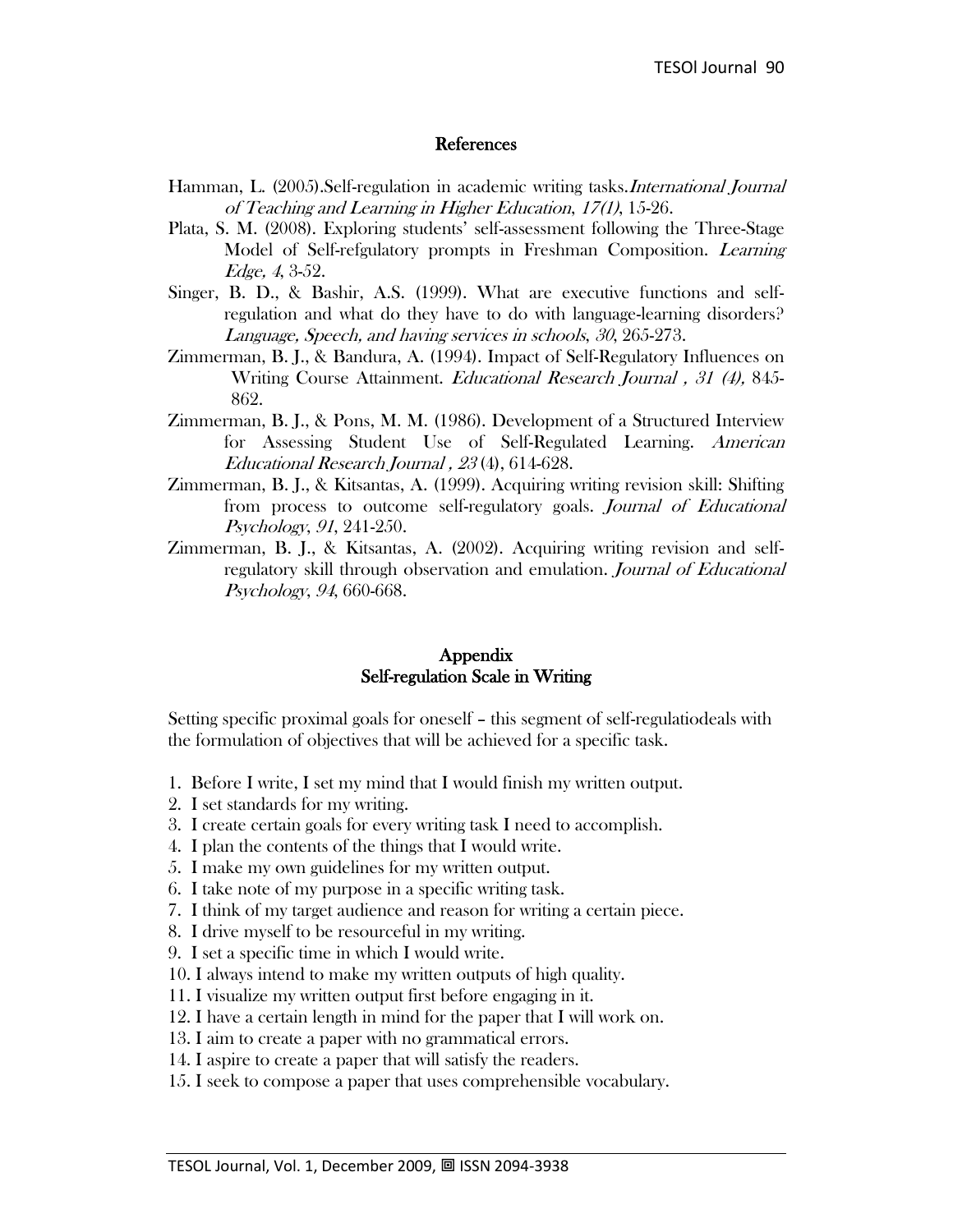#### References

- Hamman, L. (2005).Self-regulation in academic writing tasks.International Journal of Teaching and Learning in Higher Education, 17(1), 15-26.
- Plata, S. M. (2008). Exploring students' self-assessment following the Three-Stage Model of Self-refgulatory prompts in Freshman Composition. Learning Edge, 4, 3-52.
- Singer, B. D., & Bashir, A.S. (1999). What are executive functions and selfregulation and what do they have to do with language-learning disorders? Language, Speech, and having services in schools, 30, 265-273.
- Zimmerman, B. J., & Bandura, A. (1994). Impact of Self-Regulatory Influences on Writing Course Attainment. Educational Research Journal , <sup>31</sup> (4), 845- 862.
- Zimmerman, B. J., & Pons, M. M. (1986). Development of a Structured Interview for Assessing Student Use of Self-Regulated Learning. American Educational Research Journal , <sup>23</sup> (4), 614-628.
- Zimmerman, B. J., & Kitsantas, A. (1999). Acquiring writing revision skill: Shifting from process to outcome self-regulatory goals. Journal of Educational Psychology, <sup>91</sup>, 241-250.
- Zimmerman, B. J., & Kitsantas, A. (2002). Acquiring writing revision and selfregulatory skill through observation and emulation. Journal of Educational Psychology, <sup>94</sup>, 660-668.

#### Appendix Self-regulation Scale in Writing

Setting specific proximal goals for oneself – this segment of self-regulatiodeals with the formulation of objectives that will be achieved for a specific task.

- 1. Before I write, I set my mind that I would finish my written output.
- 2. I set standards for my writing.
- 3. I create certain goals for every writing task I need to accomplish.
- 4. I plan the contents of the things that I would write.
- 5. I make my own guidelines for my written output.
- 6. I take note of my purpose in a specific writing task.
- 7. I think of my target audience and reason for writing a certain piece.
- 8. I drive myself to be resourceful in my writing.
- 9. I set a specific time in which I would write.
- 10. I always intend to make my written outputs of high quality.
- 11. I visualize my written output first before engaging in it.
- 12. I have a certain length in mind for the paper that I will work on.
- 13. I aim to create a paper with no grammatical errors.
- 14. I aspire to create a paper that will satisfy the readers.
- 15. I seek to compose a paper that uses comprehensible vocabulary.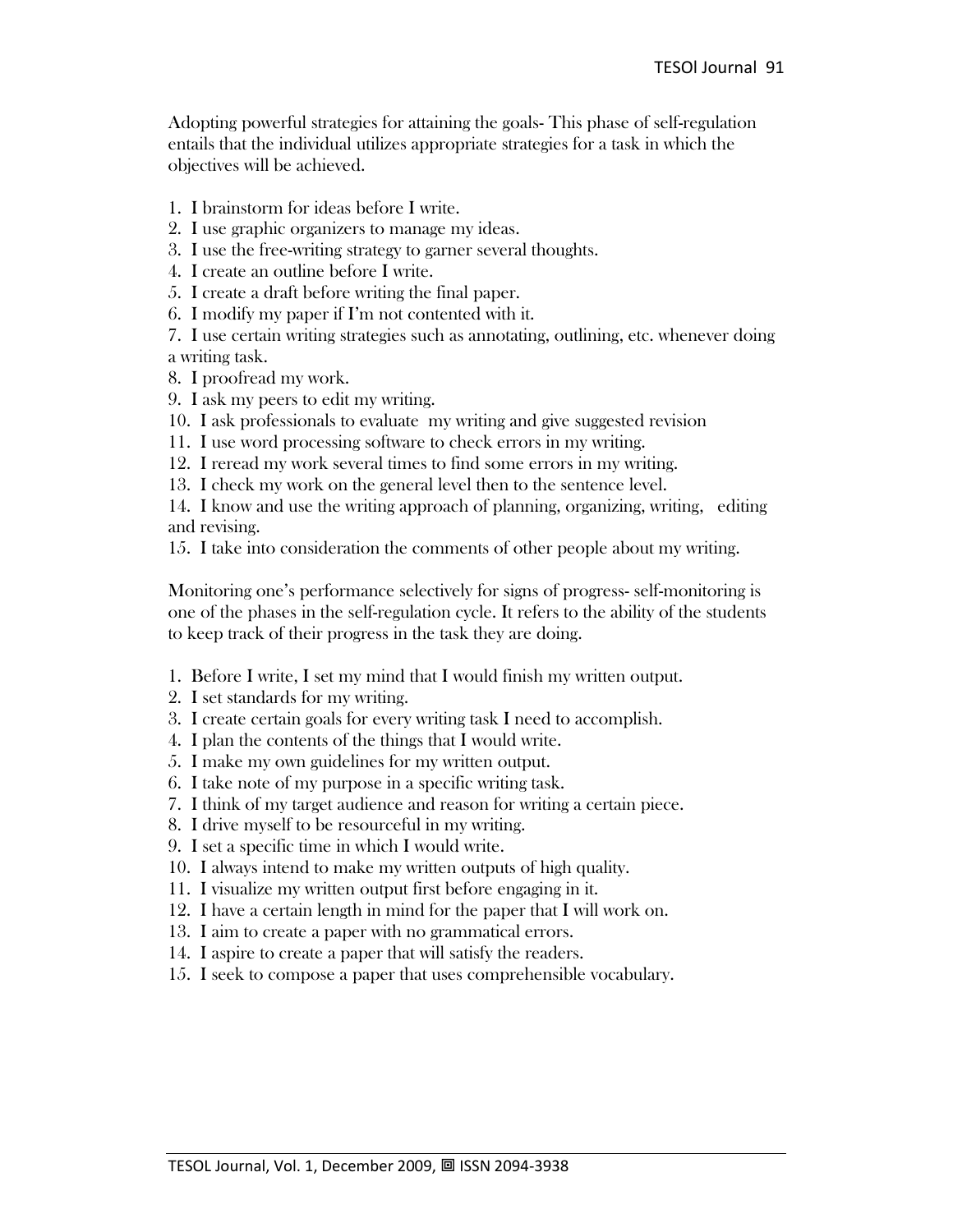Adopting powerful strategies for attaining the goals- This phase of self-regulation entails that the individual utilizes appropriate strategies for a task in which the objectives will be achieved.

1. I brainstorm for ideas before I write.

2. I use graphic organizers to manage my ideas.

- 3. I use the free-writing strategy to garner several thoughts.
- 4. I create an outline before I write.
- 5. I create a draft before writing the final paper.
- 6. I modify my paper if I'm not contented with it.

7. I use certain writing strategies such as annotating, outlining, etc. whenever doing a writing task.

- 8. I proofread my work.
- 9. I ask my peers to edit my writing.
- 10. I ask professionals to evaluate my writing and give suggested revision
- 11. I use word processing software to check errors in my writing.
- 12. I reread my work several times to find some errors in my writing.
- 13. I check my work on the general level then to the sentence level.

14. I know and use the writing approach of planning, organizing, writing, editing and revising.

15. I take into consideration the comments of other people about my writing.

Monitoring one's performance selectively for signs of progress- self-monitoring is one of the phases in the self-regulation cycle. It refers to the ability of the students to keep track of their progress in the task they are doing.

- 1. Before I write, I set my mind that I would finish my written output.
- 2. I set standards for my writing.
- 3. I create certain goals for every writing task I need to accomplish.
- 4. I plan the contents of the things that I would write.
- 5. I make my own guidelines for my written output.
- 6. I take note of my purpose in a specific writing task.
- 7. I think of my target audience and reason for writing a certain piece.
- 8. I drive myself to be resourceful in my writing.
- 9. I set a specific time in which I would write.
- 10. I always intend to make my written outputs of high quality.
- 11. I visualize my written output first before engaging in it.
- 12. I have a certain length in mind for the paper that I will work on.
- 13. I aim to create a paper with no grammatical errors.
- 14. I aspire to create a paper that will satisfy the readers.
- 15. I seek to compose a paper that uses comprehensible vocabulary.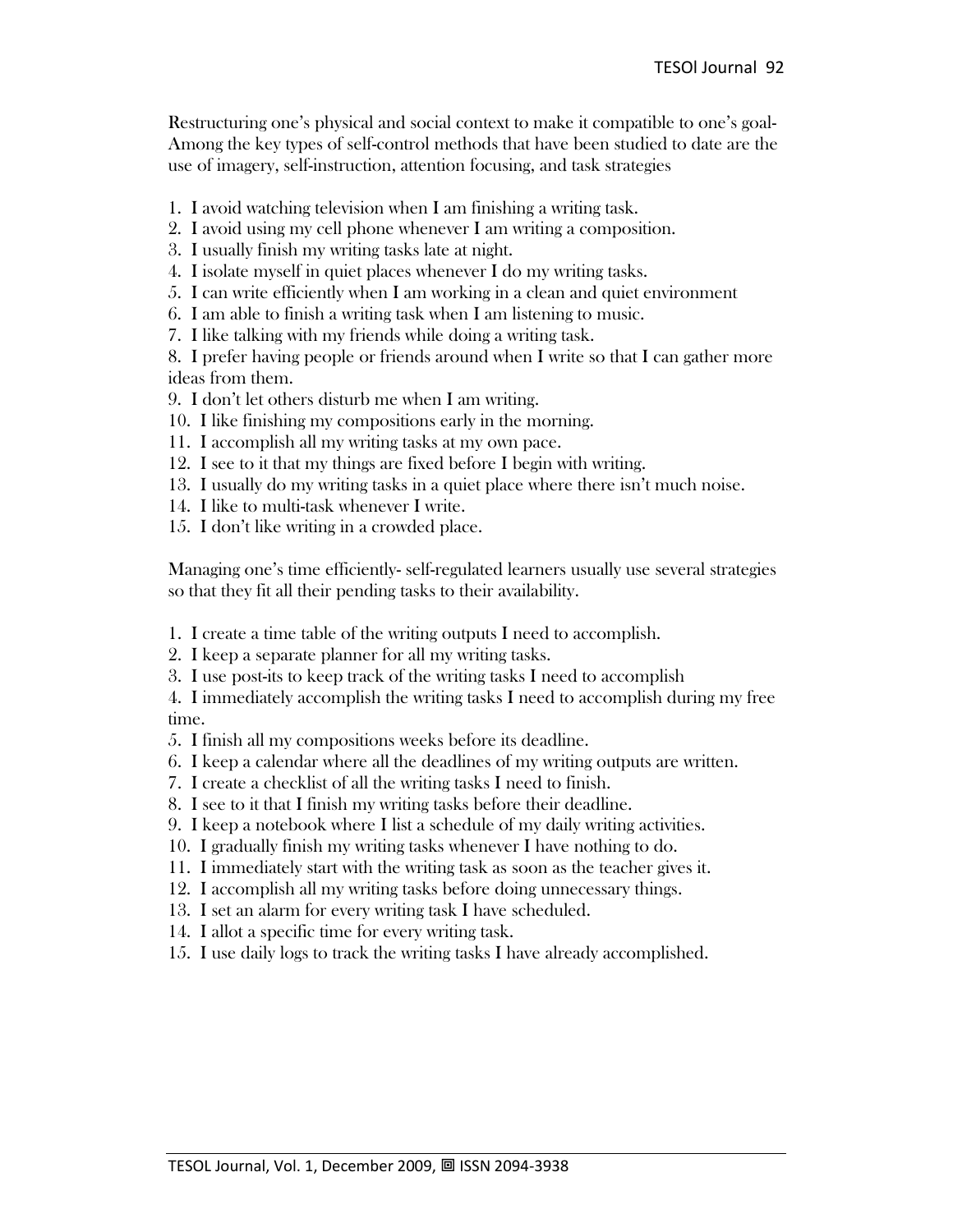Restructuring one's physical and social context to make it compatible to one's goal-Among the key types of self-control methods that have been studied to date are the use of imagery, self-instruction, attention focusing, and task strategies

- 1. I avoid watching television when I am finishing a writing task.
- 2. I avoid using my cell phone whenever I am writing a composition.
- 3. I usually finish my writing tasks late at night.
- 4. I isolate myself in quiet places whenever I do my writing tasks.
- 5. I can write efficiently when I am working in a clean and quiet environment
- 6. I am able to finish a writing task when I am listening to music.
- 7. I like talking with my friends while doing a writing task.

8. I prefer having people or friends around when I write so that I can gather more ideas from them.

- 9. I don't let others disturb me when I am writing.
- 10. I like finishing my compositions early in the morning.
- 11. I accomplish all my writing tasks at my own pace.
- 12. I see to it that my things are fixed before I begin with writing.
- 13. I usually do my writing tasks in a quiet place where there isn't much noise.
- 14. I like to multi-task whenever I write.
- 15. I don't like writing in a crowded place.

Managing one's time efficiently- self-regulated learners usually use several strategies so that they fit all their pending tasks to their availability.

1. I create a time table of the writing outputs I need to accomplish.

- 2. I keep a separate planner for all my writing tasks.
- 3. I use post-its to keep track of the writing tasks I need to accomplish

4. I immediately accomplish the writing tasks I need to accomplish during my free time.

- 5. I finish all my compositions weeks before its deadline.
- 6. I keep a calendar where all the deadlines of my writing outputs are written.
- 7. I create a checklist of all the writing tasks I need to finish.
- 8. I see to it that I finish my writing tasks before their deadline.
- 9. I keep a notebook where I list a schedule of my daily writing activities.
- 10. I gradually finish my writing tasks whenever I have nothing to do.
- 11. I immediately start with the writing task as soon as the teacher gives it.
- 12. I accomplish all my writing tasks before doing unnecessary things.
- 13. I set an alarm for every writing task I have scheduled.
- 14. I allot a specific time for every writing task.
- 15. I use daily logs to track the writing tasks I have already accomplished.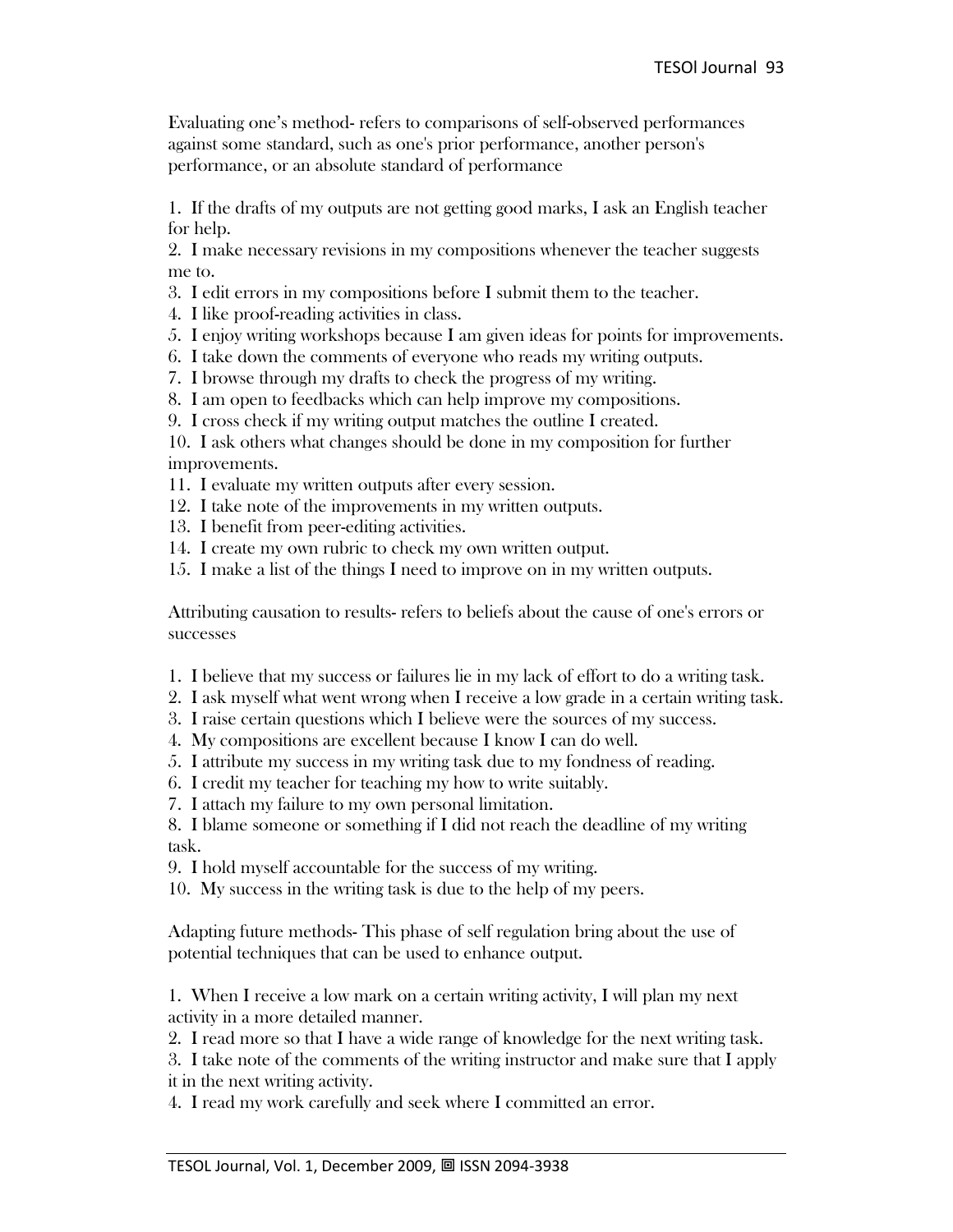Evaluating one's method- refers to comparisons of self-observed performances against some standard, such as one's prior performance, another person's performance, or an absolute standard of performance

1. If the drafts of my outputs are not getting good marks, I ask an English teacher for help.

2. I make necessary revisions in my compositions whenever the teacher suggests me to.

- 3. I edit errors in my compositions before I submit them to the teacher.
- 4. I like proof-reading activities in class.
- 5. I enjoy writing workshops because I am given ideas for points for improvements.
- 6. I take down the comments of everyone who reads my writing outputs.
- 7. I browse through my drafts to check the progress of my writing.
- 8. I am open to feedbacks which can help improve my compositions.
- 9. I cross check if my writing output matches the outline I created.

10. I ask others what changes should be done in my composition for further improvements.

- 11. I evaluate my written outputs after every session.
- 12. I take note of the improvements in my written outputs.
- 13. I benefit from peer-editing activities.
- 14. I create my own rubric to check my own written output.
- 15. I make a list of the things I need to improve on in my written outputs.

Attributing causation to results- refers to beliefs about the cause of one's errors or successes

- 1. I believe that my success or failures lie in my lack of effort to do a writing task.
- 2. I ask myself what went wrong when I receive a low grade in a certain writing task.
- 3. I raise certain questions which I believe were the sources of my success.
- 4. My compositions are excellent because I know I can do well.
- 5. I attribute my success in my writing task due to my fondness of reading.
- 6. I credit my teacher for teaching my how to write suitably.
- 7. I attach my failure to my own personal limitation.

8. I blame someone or something if I did not reach the deadline of my writing task.

9. I hold myself accountable for the success of my writing.

10. My success in the writing task is due to the help of my peers.

Adapting future methods- This phase of self regulation bring about the use of potential techniques that can be used to enhance output.

1. When I receive a low mark on a certain writing activity, I will plan my next activity in a more detailed manner.

2. I read more so that I have a wide range of knowledge for the next writing task.

3. I take note of the comments of the writing instructor and make sure that I apply it in the next writing activity.

4. I read my work carefully and seek where I committed an error.